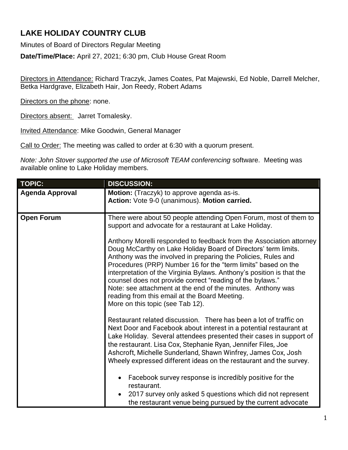# **LAKE HOLIDAY COUNTRY CLUB**

Minutes of Board of Directors Regular Meeting

**Date/Time/Place:** April 27, 2021; 6:30 pm, Club House Great Room

Directors in Attendance: Richard Traczyk, James Coates, Pat Majewski, Ed Noble, Darrell Melcher, Betka Hardgrave, Elizabeth Hair, Jon Reedy, Robert Adams

Directors on the phone: none.

Directors absent: Jarret Tomalesky.

Invited Attendance: Mike Goodwin, General Manager

Call to Order: The meeting was called to order at 6:30 with a quorum present.

*Note: John Stover supported the use of Microsoft TEAM conferencing* software. Meeting was available online to Lake Holiday members.

| <b>TOPIC:</b>          | <b>DISCUSSION:</b>                                                                                                                                                                                                                                                                                                                                                                                                                                                                                                                                                                                                                                                                              |
|------------------------|-------------------------------------------------------------------------------------------------------------------------------------------------------------------------------------------------------------------------------------------------------------------------------------------------------------------------------------------------------------------------------------------------------------------------------------------------------------------------------------------------------------------------------------------------------------------------------------------------------------------------------------------------------------------------------------------------|
| <b>Agenda Approval</b> | Motion: (Traczyk) to approve agenda as-is.<br>Action: Vote 9-0 (unanimous). Motion carried.                                                                                                                                                                                                                                                                                                                                                                                                                                                                                                                                                                                                     |
| <b>Open Forum</b>      | There were about 50 people attending Open Forum, most of them to<br>support and advocate for a restaurant at Lake Holiday.<br>Anthony Morelli responded to feedback from the Association attorney<br>Doug McCarthy on Lake Holiday Board of Directors' term limits.<br>Anthony was the involved in preparing the Policies, Rules and<br>Procedures (PRP) Number 16 for the "term limits" based on the<br>interpretation of the Virginia Bylaws. Anthony's position is that the<br>counsel does not provide correct "reading of the bylaws."<br>Note: see attachment at the end of the minutes. Anthony was<br>reading from this email at the Board Meeting.<br>More on this topic (see Tab 12). |
|                        | Restaurant related discussion. There has been a lot of traffic on<br>Next Door and Facebook about interest in a potential restaurant at<br>Lake Holiday. Several attendees presented their cases in support of<br>the restaurant. Lisa Cox, Stephanie Ryan, Jennifer Files, Joe<br>Ashcroft, Michelle Sunderland, Shawn Winfrey, James Cox, Josh<br>Wheely expressed different ideas on the restaurant and the survey.<br>Facebook survey response is incredibly positive for the<br>restaurant.<br>2017 survey only asked 5 questions which did not represent<br>the restaurant venue being pursued by the current advocate                                                                    |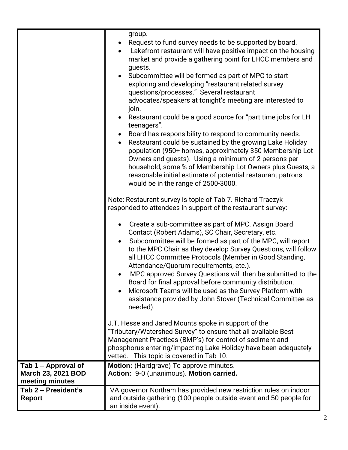|                                                                     | group.<br>Request to fund survey needs to be supported by board.<br>Lakefront restaurant will have positive impact on the housing<br>market and provide a gathering point for LHCC members and<br>guests.<br>Subcommittee will be formed as part of MPC to start<br>$\bullet$<br>exploring and developing "restaurant related survey<br>questions/processes." Several restaurant<br>advocates/speakers at tonight's meeting are interested to<br>join.<br>Restaurant could be a good source for "part time jobs for LH<br>teenagers".<br>Board has responsibility to respond to community needs.<br>Restaurant could be sustained by the growing Lake Holiday<br>population (950+ homes, approximately 350 Membership Lot<br>Owners and guests). Using a minimum of 2 persons per<br>household, some % of Membership Lot Owners plus Guests, a<br>reasonable initial estimate of potential restaurant patrons<br>would be in the range of 2500-3000.<br>Note: Restaurant survey is topic of Tab 7. Richard Traczyk<br>responded to attendees in support of the restaurant survey:<br>Create a sub-committee as part of MPC. Assign Board<br>$\bullet$<br>Contact (Robert Adams), SC Chair, Secretary, etc.<br>Subcommittee will be formed as part of the MPC, will report<br>$\bullet$<br>to the MPC Chair as they develop Survey Questions, will follow<br>all LHCC Committee Protocols (Member in Good Standing,<br>Attendance/Quorum requirements, etc.).<br>MPC approved Survey Questions will then be submitted to the<br>Board for final approval before community distribution.<br>Microsoft Teams will be used as the Survey Platform with<br>assistance provided by John Stover (Technical Committee as<br>needed).<br>J.T. Hesse and Jared Mounts spoke in support of the<br>"Tributary/Watershed Survey" to ensure that all available Best<br>Management Practices (BMP's) for control of sediment and<br>phosphorus entering/impacting Lake Holiday have been adequately |
|---------------------------------------------------------------------|--------------------------------------------------------------------------------------------------------------------------------------------------------------------------------------------------------------------------------------------------------------------------------------------------------------------------------------------------------------------------------------------------------------------------------------------------------------------------------------------------------------------------------------------------------------------------------------------------------------------------------------------------------------------------------------------------------------------------------------------------------------------------------------------------------------------------------------------------------------------------------------------------------------------------------------------------------------------------------------------------------------------------------------------------------------------------------------------------------------------------------------------------------------------------------------------------------------------------------------------------------------------------------------------------------------------------------------------------------------------------------------------------------------------------------------------------------------------------------------------------------------------------------------------------------------------------------------------------------------------------------------------------------------------------------------------------------------------------------------------------------------------------------------------------------------------------------------------------------------------------------------------------------------------------------------------------------------------------------------|
|                                                                     | vetted. This topic is covered in Tab 10.                                                                                                                                                                                                                                                                                                                                                                                                                                                                                                                                                                                                                                                                                                                                                                                                                                                                                                                                                                                                                                                                                                                                                                                                                                                                                                                                                                                                                                                                                                                                                                                                                                                                                                                                                                                                                                                                                                                                             |
| Tab 1 – Approval of<br><b>March 23, 2021 BOD</b><br>meeting minutes | <b>Motion:</b> (Hardgrave) To approve minutes.<br>Action: 9-0 (unanimous). Motion carried.                                                                                                                                                                                                                                                                                                                                                                                                                                                                                                                                                                                                                                                                                                                                                                                                                                                                                                                                                                                                                                                                                                                                                                                                                                                                                                                                                                                                                                                                                                                                                                                                                                                                                                                                                                                                                                                                                           |
| Tab 2 - President's<br><b>Report</b>                                | VA governor Northam has provided new restriction rules on indoor<br>and outside gathering (100 people outside event and 50 people for<br>an inside event).                                                                                                                                                                                                                                                                                                                                                                                                                                                                                                                                                                                                                                                                                                                                                                                                                                                                                                                                                                                                                                                                                                                                                                                                                                                                                                                                                                                                                                                                                                                                                                                                                                                                                                                                                                                                                           |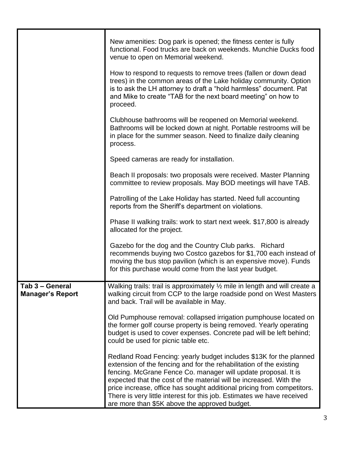|                                            | New amenities: Dog park is opened; the fitness center is fully<br>functional. Food trucks are back on weekends. Munchie Ducks food<br>venue to open on Memorial weekend.<br>How to respond to requests to remove trees (fallen or down dead<br>trees) in the common areas of the Lake holiday community. Option                                                                                                                                                                        |
|--------------------------------------------|----------------------------------------------------------------------------------------------------------------------------------------------------------------------------------------------------------------------------------------------------------------------------------------------------------------------------------------------------------------------------------------------------------------------------------------------------------------------------------------|
|                                            | is to ask the LH attorney to draft a "hold harmless" document. Pat<br>and Mike to create "TAB for the next board meeting" on how to<br>proceed.                                                                                                                                                                                                                                                                                                                                        |
|                                            | Clubhouse bathrooms will be reopened on Memorial weekend.<br>Bathrooms will be locked down at night. Portable restrooms will be<br>in place for the summer season. Need to finalize daily cleaning<br>process.                                                                                                                                                                                                                                                                         |
|                                            | Speed cameras are ready for installation.                                                                                                                                                                                                                                                                                                                                                                                                                                              |
|                                            | Beach II proposals: two proposals were received. Master Planning<br>committee to review proposals. May BOD meetings will have TAB.                                                                                                                                                                                                                                                                                                                                                     |
|                                            | Patrolling of the Lake Holiday has started. Need full accounting<br>reports from the Sheriff's department on violations.                                                                                                                                                                                                                                                                                                                                                               |
|                                            | Phase II walking trails: work to start next week. \$17,800 is already<br>allocated for the project.                                                                                                                                                                                                                                                                                                                                                                                    |
|                                            | Gazebo for the dog and the Country Club parks. Richard<br>recommends buying two Costco gazebos for \$1,700 each instead of<br>moving the bus stop pavilion (which is an expensive move). Funds<br>for this purchase would come from the last year budget.                                                                                                                                                                                                                              |
| Tab 3 - General<br><b>Manager's Report</b> | Walking trails: trail is approximately $\frac{1}{2}$ mile in length and will create a<br>walking circuit from CCP to the large roadside pond on West Masters<br>and back. Trail will be available in May.                                                                                                                                                                                                                                                                              |
|                                            | Old Pumphouse removal: collapsed irrigation pumphouse located on<br>the former golf course property is being removed. Yearly operating<br>budget is used to cover expenses. Concrete pad will be left behind;<br>could be used for picnic table etc.                                                                                                                                                                                                                                   |
|                                            | Redland Road Fencing: yearly budget includes \$13K for the planned<br>extension of the fencing and for the rehabilitation of the existing<br>fencing. McGrane Fence Co. manager will update proposal. It is<br>expected that the cost of the material will be increased. With the<br>price increase, office has sought additional pricing from competitors.<br>There is very little interest for this job. Estimates we have received<br>are more than \$5K above the approved budget. |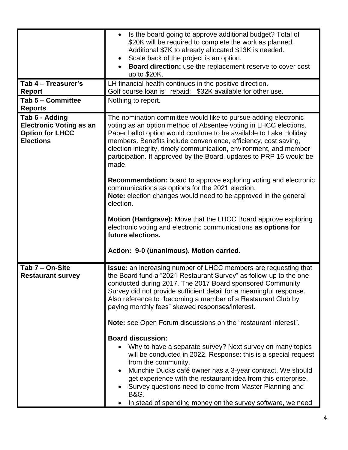|                                                                                                | Is the board going to approve additional budget? Total of<br>$\bullet$<br>\$20K will be required to complete the work as planned.<br>Additional \$7K to already allocated \$13K is needed.<br>Scale back of the project is an option.<br>Board direction: use the replacement reserve to cover cost<br>up to \$20K.                                                                                                                                                  |
|------------------------------------------------------------------------------------------------|----------------------------------------------------------------------------------------------------------------------------------------------------------------------------------------------------------------------------------------------------------------------------------------------------------------------------------------------------------------------------------------------------------------------------------------------------------------------|
| Tab 4 - Treasurer's<br><b>Report</b>                                                           | LH financial health continues in the positive direction.<br>Golf course loan is repaid: \$32K available for other use.                                                                                                                                                                                                                                                                                                                                               |
| Tab 5 - Committee                                                                              | Nothing to report.                                                                                                                                                                                                                                                                                                                                                                                                                                                   |
| <b>Reports</b>                                                                                 |                                                                                                                                                                                                                                                                                                                                                                                                                                                                      |
| Tab 6 - Adding<br><b>Electronic Voting as an</b><br><b>Option for LHCC</b><br><b>Elections</b> | The nomination committee would like to pursue adding electronic<br>voting as an option method of Absentee voting in LHCC elections.<br>Paper ballot option would continue to be available to Lake Holiday<br>members. Benefits include convenience, efficiency, cost saving,<br>election integrity, timely communication, environment, and member<br>participation. If approved by the Board, updates to PRP 16 would be<br>made.                                    |
|                                                                                                | <b>Recommendation:</b> board to approve exploring voting and electronic<br>communications as options for the 2021 election.<br>Note: election changes would need to be approved in the general<br>election.                                                                                                                                                                                                                                                          |
|                                                                                                | Motion (Hardgrave): Move that the LHCC Board approve exploring<br>electronic voting and electronic communications as options for<br>future elections.                                                                                                                                                                                                                                                                                                                |
|                                                                                                | Action: 9-0 (unanimous). Motion carried.                                                                                                                                                                                                                                                                                                                                                                                                                             |
| Tab 7 - On-Site<br><b>Restaurant survey</b>                                                    | <b>Issue:</b> an increasing number of LHCC members are requesting that<br>the Board fund a "2021 Restaurant Survey" as follow-up to the one<br>conducted during 2017. The 2017 Board sponsored Community<br>Survey did not provide sufficient detail for a meaningful response.<br>Also reference to "becoming a member of a Restaurant Club by<br>paying monthly fees" skewed responses/interest.                                                                   |
|                                                                                                | Note: see Open Forum discussions on the "restaurant interest".                                                                                                                                                                                                                                                                                                                                                                                                       |
|                                                                                                | <b>Board discussion:</b><br>Why to have a separate survey? Next survey on many topics<br>will be conducted in 2022. Response: this is a special request<br>from the community.<br>Munchie Ducks café owner has a 3-year contract. We should<br>$\bullet$<br>get experience with the restaurant idea from this enterprise.<br>Survey questions need to come from Master Planning and<br><b>B&amp;G.</b><br>In stead of spending money on the survey software, we need |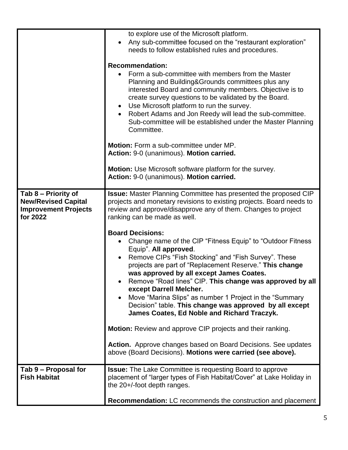|                                                                                              | to explore use of the Microsoft platform.                                                                                                                                                                                                                                                                                                                                                                                                                                                                                                                             |
|----------------------------------------------------------------------------------------------|-----------------------------------------------------------------------------------------------------------------------------------------------------------------------------------------------------------------------------------------------------------------------------------------------------------------------------------------------------------------------------------------------------------------------------------------------------------------------------------------------------------------------------------------------------------------------|
|                                                                                              | Any sub-committee focused on the "restaurant exploration"<br>$\bullet$                                                                                                                                                                                                                                                                                                                                                                                                                                                                                                |
|                                                                                              | needs to follow established rules and procedures.                                                                                                                                                                                                                                                                                                                                                                                                                                                                                                                     |
|                                                                                              | <b>Recommendation:</b><br>Form a sub-committee with members from the Master<br>Planning and Building&Grounds committees plus any<br>interested Board and community members. Objective is to<br>create survey questions to be validated by the Board.<br>Use Microsoft platform to run the survey.<br>$\bullet$<br>Robert Adams and Jon Reedy will lead the sub-committee.<br>$\bullet$<br>Sub-committee will be established under the Master Planning<br>Committee.<br><b>Motion:</b> Form a sub-committee under MP.                                                  |
|                                                                                              | Action: 9-0 (unanimous). Motion carried.                                                                                                                                                                                                                                                                                                                                                                                                                                                                                                                              |
|                                                                                              | Motion: Use Microsoft software platform for the survey.<br>Action: 9-0 (unanimous). Motion carried.                                                                                                                                                                                                                                                                                                                                                                                                                                                                   |
| Tab 8 - Priority of<br><b>New/Revised Capital</b><br><b>Improvement Projects</b><br>for 2022 | <b>Issue:</b> Master Planning Committee has presented the proposed CIP<br>projects and monetary revisions to existing projects. Board needs to<br>review and approve/disapprove any of them. Changes to project<br>ranking can be made as well.                                                                                                                                                                                                                                                                                                                       |
|                                                                                              | <b>Board Decisions:</b><br>Change name of the CIP "Fitness Equip" to "Outdoor Fitness"<br>Equip". All approved.<br>Remove CIPs "Fish Stocking" and "Fish Survey". These<br>$\bullet$<br>projects are part of "Replacement Reserve." This change<br>was approved by all except James Coates.<br>Remove "Road lines" CIP. This change was approved by all<br>except Darrell Melcher.<br>Move "Marina Slips" as number 1 Project in the "Summary"<br>$\bullet$<br>Decision" table. This change was approved by all except<br>James Coates, Ed Noble and Richard Traczyk. |
|                                                                                              | <b>Motion:</b> Review and approve CIP projects and their ranking.                                                                                                                                                                                                                                                                                                                                                                                                                                                                                                     |
|                                                                                              | Action. Approve changes based on Board Decisions. See updates<br>above (Board Decisions). Motions were carried (see above).                                                                                                                                                                                                                                                                                                                                                                                                                                           |
| Tab 9 - Proposal for<br><b>Fish Habitat</b>                                                  | <b>Issue:</b> The Lake Committee is requesting Board to approve<br>placement of "larger types of Fish Habitat/Cover" at Lake Holiday in<br>the 20+/-foot depth ranges.                                                                                                                                                                                                                                                                                                                                                                                                |
|                                                                                              | <b>Recommendation:</b> LC recommends the construction and placement                                                                                                                                                                                                                                                                                                                                                                                                                                                                                                   |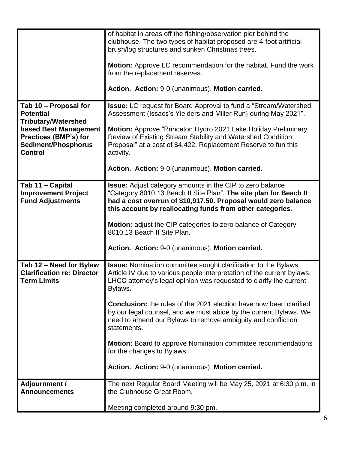|                                                                                                  | of habitat in areas off the fishing/observation pier behind the<br>clubhouse. The two types of habitat proposed are 4-foot artificial<br>brush/log structures and sunken Christmas trees.<br><b>Motion:</b> Approve LC recommendation for the habitat. Fund the work<br>from the replacement reserves.<br>Action. Action: 9-0 (unanimous). Motion carried. |
|--------------------------------------------------------------------------------------------------|------------------------------------------------------------------------------------------------------------------------------------------------------------------------------------------------------------------------------------------------------------------------------------------------------------------------------------------------------------|
|                                                                                                  |                                                                                                                                                                                                                                                                                                                                                            |
| Tab 10 - Proposal for<br><b>Potential</b><br><b>Tributary/Watershed</b><br>based Best Management | <b>Issue:</b> LC request for Board Approval to fund a "Stream/Watershed<br>Assessment (Issacs's Yielders and Miller Run} during May 2021".<br>Motion: Approve "Princeton Hydro 2021 Lake Holiday Preliminary                                                                                                                                               |
| Practices (BMP's) for<br>Sediment/Phosphorus<br><b>Control</b>                                   | Review of Existing Stream Stability and Watershed Condition<br>Proposal" at a cost of \$4,422. Replacement Reserve to fun this<br>activity.                                                                                                                                                                                                                |
|                                                                                                  | Action. Action: 9-0 (unanimous). Motion carried.                                                                                                                                                                                                                                                                                                           |
| Tab 11 - Capital<br><b>Improvement Project</b><br><b>Fund Adjustments</b>                        | Issue: Adjust category amounts in the CIP to zero balance<br>"Category 8010.13 Beach II Site Plan". The site plan for Beach II<br>had a cost overrun of \$10,917.50. Proposal would zero balance<br>this account by reallocating funds from other categories.                                                                                              |
|                                                                                                  | <b>Motion:</b> adjust the CIP categories to zero balance of Category<br>8010.13 Beach II Site Plan.                                                                                                                                                                                                                                                        |
|                                                                                                  | Action. Action: 9-0 (unanimous). Motion carried.                                                                                                                                                                                                                                                                                                           |
| Tab 12 - Need for Bylaw<br><b>Clarification re: Director</b><br><b>Term Limits</b>               | <b>Issue:</b> Nomination committee sought clarification to the Bylaws<br>Article IV due to various people interpretation of the current bylaws.<br>LHCC attorney's legal opinion was requested to clarify the current<br>Bylaws.                                                                                                                           |
|                                                                                                  | <b>Conclusion:</b> the rules of the 2021 election have now been clarified<br>by our legal counsel, and we must abide by the current Bylaws. We<br>need to amend our Bylaws to remove ambiguity and confliction<br>statements.                                                                                                                              |
|                                                                                                  | <b>Motion:</b> Board to approve Nomination committee recommendations<br>for the changes to Bylaws.                                                                                                                                                                                                                                                         |
|                                                                                                  | Action. Action: 9-0 (unanimous). Motion carried.                                                                                                                                                                                                                                                                                                           |
| <b>Adjournment /</b><br><b>Announcements</b>                                                     | The next Regular Board Meeting will be May 25, 2021 at 6:30 p.m. in<br>the Clubhouse Great Room.                                                                                                                                                                                                                                                           |
|                                                                                                  | Meeting completed around 9:30 pm.                                                                                                                                                                                                                                                                                                                          |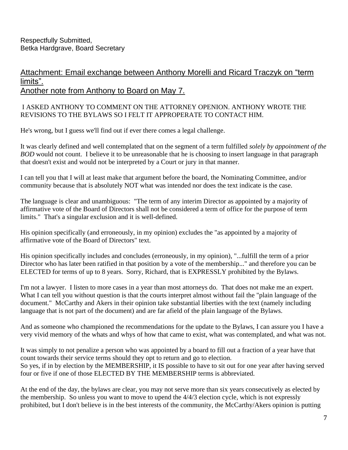## Attachment: Email exchange between Anthony Morelli and Ricard Traczyk on "term limits". Another note from Anthony to Board on May 7.

#### I ASKED ANTHONY TO COMMENT ON THE ATTORNEY OPENION. ANTHONY WROTE THE REVISIONS TO THE BYLAWS SO I FELT IT APPROPERATE TO CONTACT HIM.

He's wrong, but I guess we'll find out if ever there comes a legal challenge.

It was clearly defined and well contemplated that on the segment of a term fulfilled *solely by appointment of the BOD* would not count. I believe it to be unreasonable that he is choosing to insert language in that paragraph that doesn't exist and would not be interpreted by a Court or jury in that manner.

I can tell you that I will at least make that argument before the board, the Nominating Committee, and/or community because that is absolutely NOT what was intended nor does the text indicate is the case.

The language is clear and unambiguous: "The term of any interim Director as appointed by a majority of affirmative vote of the Board of Directors shall not be considered a term of office for the purpose of term limits." That's a singular exclusion and it is well-defined.

His opinion specifically (and erroneously, in my opinion) excludes the "as appointed by a majority of affirmative vote of the Board of Directors" text.

His opinion specifically includes and concludes (erroneously, in my opinion), "...fulfill the term of a prior Director who has later been ratified in that position by a vote of the membership..." and therefore you can be ELECTED for terms of up to 8 years. Sorry, Richard, that is EXPRESSLY prohibited by the Bylaws.

I'm not a lawyer. I listen to more cases in a year than most attorneys do. That does not make me an expert. What I can tell you without question is that the courts interpret almost without fail the "plain language of the document." McCarthy and Akers in their opinion take substantial liberties with the text (namely including language that is not part of the document) and are far afield of the plain language of the Bylaws.

And as someone who championed the recommendations for the update to the Bylaws, I can assure you I have a very vivid memory of the whats and whys of how that came to exist, what was contemplated, and what was not.

It was simply to not penalize a person who was appointed by a board to fill out a fraction of a year have that count towards their service terms should they opt to return and go to election. So yes, if in by election by the MEMBERSHIP, it IS possible to have to sit out for one year after having served four or five if one of those ELECTED BY THE MEMBERSHIP terms is abbreviated.

At the end of the day, the bylaws are clear, you may not serve more than six years consecutively as elected by the membership. So unless you want to move to upend the 4/4/3 election cycle, which is not expressly prohibited, but I don't believe is in the best interests of the community, the McCarthy/Akers opinion is putting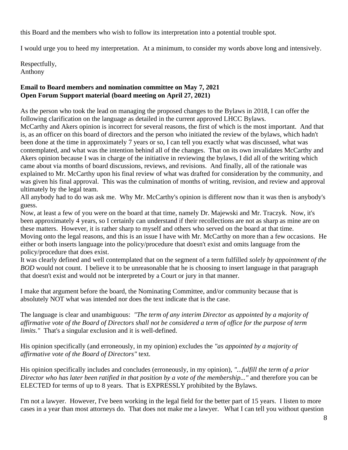this Board and the members who wish to follow its interpretation into a potential trouble spot.

I would urge you to heed my interpretation. At a minimum, to consider my words above long and intensively.

Respectfully, Anthony

#### **Email to Board members and nomination committee on May 7, 2021 Open Forum Support material (board meeting on April 27, 2021)**

As the person who took the lead on managing the proposed changes to the Bylaws in 2018, I can offer the following clarification on the language as detailed in the current approved LHCC Bylaws.

McCarthy and Akers opinion is incorrect for several reasons, the first of which is the most important. And that is, as an officer on this board of directors and the person who initiated the review of the bylaws, which hadn't been done at the time in approximately 7 years or so, I can tell you exactly what was discussed, what was contemplated, and what was the intention behind all of the changes. That on its own invalidates McCarthy and Akers opinion because I was in charge of the initiative in reviewing the bylaws, I did all of the writing which came about via months of board discussions, reviews, and revisions. And finally, all of the rationale was explained to Mr. McCarthy upon his final review of what was drafted for consideration by the community, and was given his final approval. This was the culmination of months of writing, revision, and review and approval ultimately by the legal team.

All anybody had to do was ask me. Why Mr. McCarthy's opinion is different now than it was then is anybody's guess.

Now, at least a few of you were on the board at that time, namely Dr. Majewski and Mr. Traczyk. Now, it's been approximately 4 years, so I certainly can understand if their recollections are not as sharp as mine are on these matters. However, it is rather sharp to myself and others who served on the board at that time. Moving onto the legal reasons, and this is an issue I have with Mr. McCarthy on more than a few occasions. He either or both inserts language into the policy/procedure that doesn't exist and omits language from the policy/procedure that does exist.

It was clearly defined and well contemplated that on the segment of a term fulfilled *solely by appointment of the BOD* would not count. I believe it to be unreasonable that he is choosing to insert language in that paragraph that doesn't exist and would not be interpreted by a Court or jury in that manner.

I make that argument before the board, the Nominating Committee, and/or community because that is absolutely NOT what was intended nor does the text indicate that is the case.

The language is clear and unambiguous: *"The term of any interim Director as appointed by a majority of affirmative vote of the Board of Directors shall not be considered a term of office for the purpose of term limits.*" That's a singular exclusion and it is well-defined.

His opinion specifically (and erroneously, in my opinion) excludes the *"as appointed by a majority of affirmative vote of the Board of Directors"* text.

His opinion specifically includes and concludes (erroneously, in my opinion), *"...fulfill the term of a prior Director who has later been ratified in that position by a vote of the membership..."* and therefore you can be ELECTED for terms of up to 8 years. That is EXPRESSLY prohibited by the Bylaws.

I'm not a lawyer. However, I've been working in the legal field for the better part of 15 years. I listen to more cases in a year than most attorneys do. That does not make me a lawyer. What I can tell you without question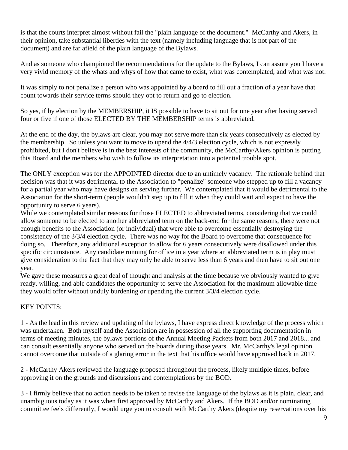is that the courts interpret almost without fail the "plain language of the document." McCarthy and Akers, in their opinion, take substantial liberties with the text (namely including language that is not part of the document) and are far afield of the plain language of the Bylaws.

And as someone who championed the recommendations for the update to the Bylaws, I can assure you I have a very vivid memory of the whats and whys of how that came to exist, what was contemplated, and what was not.

It was simply to not penalize a person who was appointed by a board to fill out a fraction of a year have that count towards their service terms should they opt to return and go to election.

So yes, if by election by the MEMBERSHIP, it IS possible to have to sit out for one year after having served four or five if one of those ELECTED BY THE MEMBERSHIP terms is abbreviated.

At the end of the day, the bylaws are clear, you may not serve more than six years consecutively as elected by the membership. So unless you want to move to upend the 4/4/3 election cycle, which is not expressly prohibited, but I don't believe is in the best interests of the community, the McCarthy/Akers opinion is putting this Board and the members who wish to follow its interpretation into a potential trouble spot.

The ONLY exception was for the APPOINTED director due to an untimely vacancy. The rationale behind that decision was that it was detrimental to the Association to "penalize" someone who stepped up to fill a vacancy for a partial year who may have designs on serving further. We contemplated that it would be detrimental to the Association for the short-term (people wouldn't step up to fill it when they could wait and expect to have the opportunity to serve 6 years).

While we contemplated similar reasons for those ELECTED to abbreviated terms, considering that we could allow someone to be elected to another abbreviated term on the back-end for the same reasons, there were not enough benefits to the Association (or individual) that were able to overcome essentially destroying the consistency of the 3/3/4 election cycle. There was no way for the Board to overcome that consequence for doing so. Therefore, any additional exception to allow for 6 years consecutively were disallowed under this specific circumstance. Any candidate running for office in a year where an abbreviated term is in play must give consideration to the fact that they may only be able to serve less than 6 years and then have to sit out one year.

We gave these measures a great deal of thought and analysis at the time because we obviously wanted to give ready, willing, and able candidates the opportunity to serve the Association for the maximum allowable time they would offer without unduly burdening or upending the current 3/3/4 election cycle.

### KEY POINTS:

1 - As the lead in this review and updating of the bylaws, I have express direct knowledge of the process which was undertaken. Both myself and the Association are in possession of all the supporting documentation in terms of meeting minutes, the bylaws portions of the Annual Meeting Packets from both 2017 and 2018... and can consult essentially anyone who served on the boards during those years. Mr. McCarthy's legal opinion cannot overcome that outside of a glaring error in the text that his office would have approved back in 2017.

2 - McCarthy Akers reviewed the language proposed throughout the process, likely multiple times, before approving it on the grounds and discussions and contemplations by the BOD.

3 - I firmly believe that no action needs to be taken to revise the language of the bylaws as it is plain, clear, and unambiguous today as it was when first approved by McCarthy and Akers. If the BOD and/or nominating committee feels differently, I would urge you to consult with McCarthy Akers (despite my reservations over his